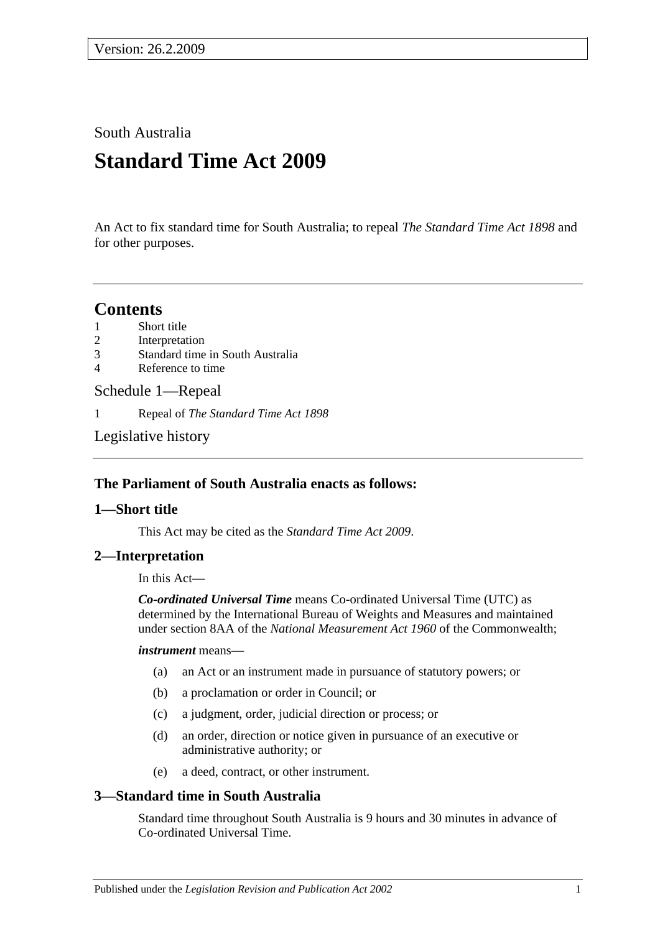South Australia

# **Standard Time Act 2009**

An Act to fix standard time for South Australia; to repeal *[The Standard Time Act](http://www.legislation.sa.gov.au/index.aspx?action=legref&type=act&legtitle=The%20Standard%20Time%20Act%201898) 1898* and for other purposes.

### **Contents**

- 1 [Short title](#page-0-0)
- 2 [Interpretation](#page-0-1)
- 3 [Standard time in South Australia](#page-0-2)
- 4 [Reference to time](#page-1-0)

#### [Schedule 1—Repeal](#page-1-1)

1 Repeal of *[The Standard Time Act](#page-1-2) 1898*

[Legislative history](#page-2-0)

#### **The Parliament of South Australia enacts as follows:**

#### <span id="page-0-0"></span>**1—Short title**

This Act may be cited as the *Standard Time Act 2009*.

#### <span id="page-0-1"></span>**2—Interpretation**

In this Act—

*Co-ordinated Universal Time* means Co-ordinated Universal Time (UTC) as determined by the International Bureau of Weights and Measures and maintained under section 8AA of the *National Measurement Act 1960* of the Commonwealth;

#### *instrument* means—

- (a) an Act or an instrument made in pursuance of statutory powers; or
- (b) a proclamation or order in Council; or
- (c) a judgment, order, judicial direction or process; or
- (d) an order, direction or notice given in pursuance of an executive or administrative authority; or
- (e) a deed, contract, or other instrument.

#### <span id="page-0-2"></span>**3—Standard time in South Australia**

Standard time throughout South Australia is 9 hours and 30 minutes in advance of Co-ordinated Universal Time.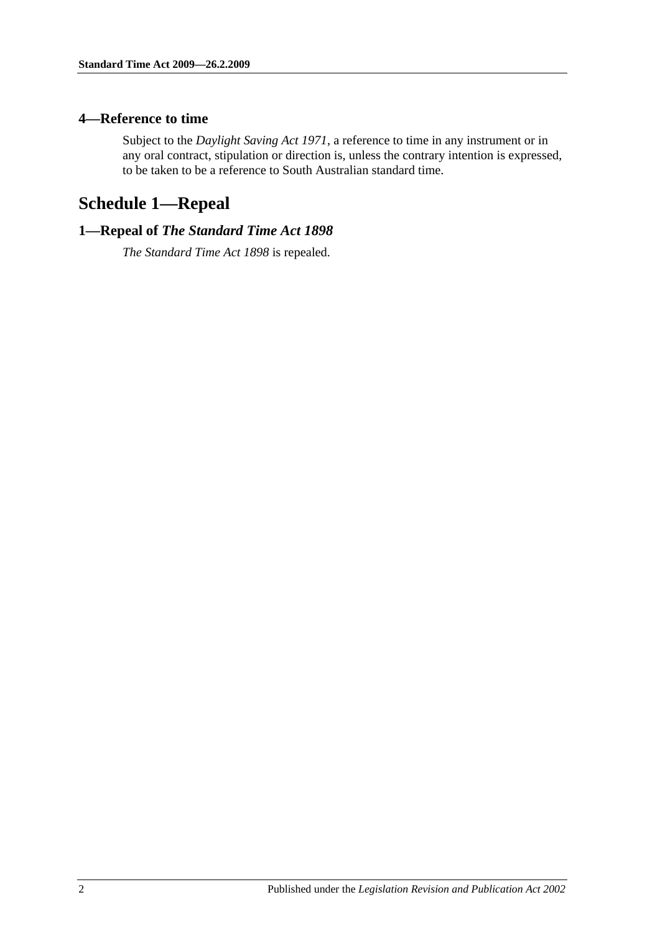#### <span id="page-1-0"></span>**4—Reference to time**

Subject to the *[Daylight Saving Act](http://www.legislation.sa.gov.au/index.aspx?action=legref&type=act&legtitle=Daylight%20Saving%20Act%201971) 1971*, a reference to time in any instrument or in any oral contract, stipulation or direction is, unless the contrary intention is expressed, to be taken to be a reference to South Australian standard time.

## <span id="page-1-1"></span>**Schedule 1—Repeal**

#### <span id="page-1-2"></span>**1—Repeal of** *The Standard Time Act 1898*

*[The Standard Time Act](http://www.legislation.sa.gov.au/index.aspx?action=legref&type=act&legtitle=The%20Standard%20Time%20Act%201898) 1898* is repealed.